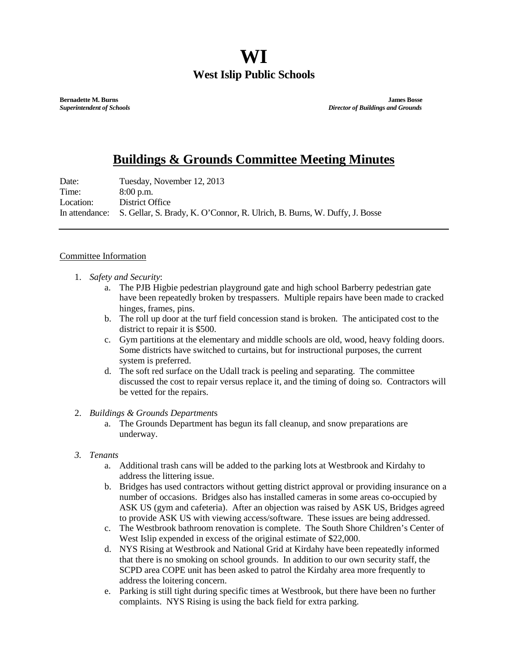## **WI West Islip Public Schools**

**Bernadette M. Burns James Bosse** *Superintendent of Schools**Director of Buildings and Grounds*

## **Buildings & Grounds Committee Meeting Minutes**

Date: Tuesday, November 12, 2013 Time: 8:00 p.m. Location: District Office In attendance: S. Gellar, S. Brady, K. O'Connor, R. Ulrich, B. Burns, W. Duffy, J. Bosse

## Committee Information

- 1. *Safety and Security*:
	- a. The PJB Higbie pedestrian playground gate and high school Barberry pedestrian gate have been repeatedly broken by trespassers. Multiple repairs have been made to cracked hinges, frames, pins.
	- b. The roll up door at the turf field concession stand is broken. The anticipated cost to the district to repair it is \$500.
	- c. Gym partitions at the elementary and middle schools are old, wood, heavy folding doors. Some districts have switched to curtains, but for instructional purposes, the current system is preferred.
	- d. The soft red surface on the Udall track is peeling and separating. The committee discussed the cost to repair versus replace it, and the timing of doing so. Contractors will be vetted for the repairs.

## 2. *Buildings & Grounds Department*s

- a. The Grounds Department has begun its fall cleanup, and snow preparations are underway.
- *3. Tenants*
	- a. Additional trash cans will be added to the parking lots at Westbrook and Kirdahy to address the littering issue.
	- b. Bridges has used contractors without getting district approval or providing insurance on a number of occasions. Bridges also has installed cameras in some areas co-occupied by ASK US (gym and cafeteria). After an objection was raised by ASK US, Bridges agreed to provide ASK US with viewing access/software. These issues are being addressed.
	- c. The Westbrook bathroom renovation is complete. The South Shore Children's Center of West Islip expended in excess of the original estimate of \$22,000.
	- d. NYS Rising at Westbrook and National Grid at Kirdahy have been repeatedly informed that there is no smoking on school grounds. In addition to our own security staff, the SCPD area COPE unit has been asked to patrol the Kirdahy area more frequently to address the loitering concern.
	- e. Parking is still tight during specific times at Westbrook, but there have been no further complaints. NYS Rising is using the back field for extra parking.